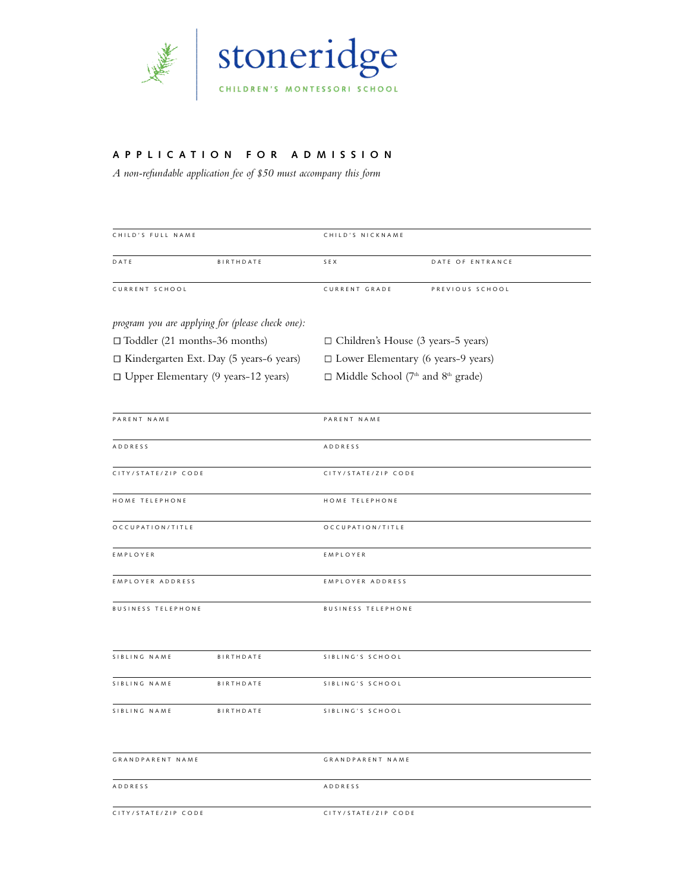

## **A P P L I C A T I O N F O R A D M I S S I O N**

*A non-refundable application fee of \$50 must accompany this form*

| CHILD'S FULL NAME                              |                                                  | CHILD'S NICKNAME                                                 |                  |
|------------------------------------------------|--------------------------------------------------|------------------------------------------------------------------|------------------|
| DATE                                           | BIRTHDATE                                        | SEX                                                              | DATE OF ENTRANCE |
| CURRENT SCHOOL                                 |                                                  | CURRENT GRADE                                                    | PREVIOUS SCHOOL  |
|                                                | program you are applying for (please check one): |                                                                  |                  |
| $\Box$ Toddler (21 months-36 months)           |                                                  | $\Box$ Children's House (3 years-5 years)                        |                  |
| $\Box$ Kindergarten Ext. Day (5 years-6 years) |                                                  | $\square$ Lower Elementary (6 years-9 years)                     |                  |
| □ Upper Elementary (9 years-12 years)          |                                                  | $\Box$ Middle School (7 <sup>th</sup> and 8 <sup>th</sup> grade) |                  |
| PARENT NAME                                    |                                                  | PARENT NAME                                                      |                  |
| ADDRESS                                        |                                                  | ADDRESS                                                          |                  |
| CITY/STATE/ZIP CODE                            |                                                  | CITY/STATE/ZIP CODE                                              |                  |
| HOME TELEPHONE                                 |                                                  | HOME TELEPHONE                                                   |                  |
| OCCUPATION/TITLE                               |                                                  | OCCUPATION/TITLE                                                 |                  |
| EMPLOYER                                       |                                                  | EMPLOYER                                                         |                  |
| EMPLOYER ADDRESS                               |                                                  | EMPLOYER ADDRESS                                                 |                  |
| <b>BUSINESS TELEPHONE</b>                      |                                                  | <b>BUSINESS TELEPHONE</b>                                        |                  |
| SIBLING NAME                                   | BIRTHDATE                                        | SIBLING'S SCHOOL                                                 |                  |
| SIBLING NAME                                   | BIRTHDATE                                        | SIBLING'S SCHOOL                                                 |                  |
| SIBLING NAME                                   | BIRTHDATE                                        | SIBLING'S SCHOOL                                                 |                  |
| <b>GRANDPARENT NAME</b>                        |                                                  | GRANDPARENT NAME                                                 |                  |
| <b>ADDRESS</b>                                 |                                                  | <b>ADDRESS</b>                                                   |                  |
| CITY/STATE/ZIP CODE                            |                                                  | CITY/STATE/ZIP CODE                                              |                  |